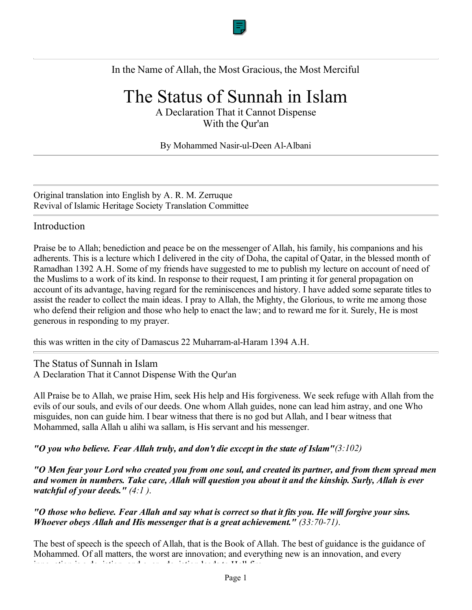

## In the Name of Allah, the Most Gracious, the Most Merciful

# The Status of Sunnah in Islam

A Declaration That it Cannot Dispense With the Qur'an

#### By Mohammed Nasir-ul-Deen Al-Albani

Original translation into English by A. R. M. Zerruque Revival of Islamic Heritage Society Translation Committee

### Introduction

Praise be to Allah; benediction and peace be on the messenger of Allah, his family, his companions and his adherents. This is a lecture which I delivered in the city of Doha, the capital of Qatar, in the blessed month of Ramadhan 1392 A.H. Some of my friends have suggested to me to publish my lecture on account of need of the Muslims to a work of its kind. In response to their request, I am printing it for general propagation on account of its advantage, having regard for the reminiscences and history. I have added some separate titles to assist the reader to collect the main ideas. I pray to Allah, the Mighty, the Glorious, to write me among those who defend their religion and those who help to enact the law; and to reward me for it. Surely, He is most generous in responding to my prayer.

this was written in the city of Damascus 22 Muharram-al-Haram 1394 A.H.

The Status of Sunnah in Islam A Declaration That it Cannot Dispense With the Qur'an

All Praise be to Allah, we praise Him, seek His help and His forgiveness. We seek refuge with Allah from the evils of our souls, and evils of our deeds. One whom Allah guides, none can lead him astray, and one Who misguides, non can guide him. I bear witness that there is no god but Allah, and I bear witness that Mohammed, salla Allah u alihi wa sallam, is His servant and his messenger.

*"O you who believe. Fear Allah truly, and don't die except in the state of Islam"(3:102)*

*"O Men fear your Lord who created you from one soul, and created its partner, and from them spread men and women in numbers. Take care, Allah will question you about it and the kinship. Surly, Allah is ever watchful of your deeds." (4:1 )*.

*"O those who believe. Fear Allah and say what is correct so that it fits you. He will forgive your sins. Whoever obeys Allah and His messenger that is a great achievement." (33:70-71)*.

The best of speech is the speech of Allah, that is the Book of Allah. The best of guidance is the guidance of Mohammed. Of all matters, the worst are innovation; and everything new is an innovation, and every inno ation is a de iation and e er de iation leads to Hell fire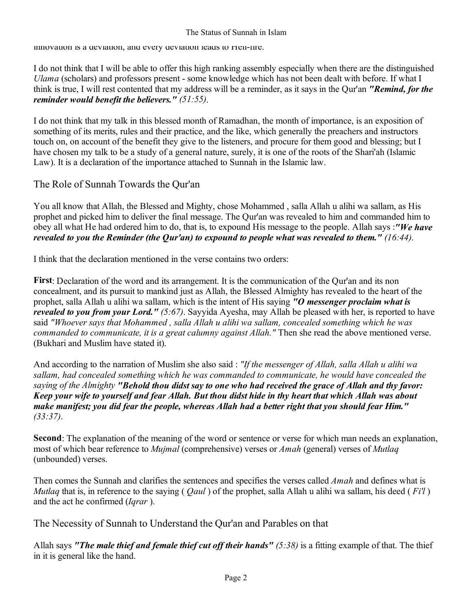### The Status of Sunnah in Islam

innovation is a deviation, and every deviation leads to Hell-fire.

I do not think that I will be able to offer this high ranking assembly especially when there are the distinguished *Ulama* (scholars) and professors present - some knowledge which has not been dealt with before. If what I think is true, I will rest contented that my address will be a reminder, as it says in the Qur'an *"Remind, for the reminder would benefit the believers." (51:55)*.

I do not think that my talk in this blessed month of Ramadhan, the month of importance, is an exposition of something of its merits, rules and their practice, and the like, which generally the preachers and instructors touch on, on account of the benefit they give to the listeners, and procure for them good and blessing; but I have chosen my talk to be a study of a general nature, surely, it is one of the roots of the Shari'ah (Islamic Law). It is a declaration of the importance attached to Sunnah in the Islamic law.

The Role of Sunnah Towards the Qur'an

You all know that Allah, the Blessed and Mighty, chose Mohammed , salla Allah u alihi wa sallam, as His prophet and picked him to deliver the final message. The Qur'an was revealed to him and commanded him to obey all what He had ordered him to do, that is, to expound His message to the people. Allah says :*"We have revealed to you the Reminder (the Qur'an) to expound to people what was revealed to them." (16:44)*.

I think that the declaration mentioned in the verse contains two orders:

**First**: Declaration of the word and its arrangement. It is the communication of the Qur'an and its non concealment, and its pursuit to mankind just as Allah, the Blessed Almighty has revealed to the heart of the prophet, salla Allah u alihi wa sallam, which is the intent of His saying *"O messenger proclaim what is revealed to you from your Lord." (5:67)*. Sayyida Ayesha, may Allah be pleased with her, is reported to have said *"Whoever says that Mohammed , salla Allah u alihi wa sallam, concealed something which he was commanded to communicate, it is a great calumny against Allah."* Then she read the above mentioned verse. (Bukhari and Muslim have stated it).

And according to the narration of Muslim she also said : *"If the messenger of Allah, salla Allah u alihi wa sallam, had concealed something which he was commanded to communicate, he would have concealed the saying of the Almighty "Behold thou didst say to one who had received the grace of Allah and thy favor: Keep your wife to yourself and fear Allah. But thou didst hide in thy heart that which Allah was about make manifest; you did fear the people, whereas Allah had a better right that you should fear Him." (33:37)*.

**Second**: The explanation of the meaning of the word or sentence or verse for which man needs an explanation, most of which bear reference to *Mujmal* (comprehensive) verses or *Amah* (general) verses of *Mutlaq* (unbounded) verses.

Then comes the Sunnah and clarifies the sentences and specifies the verses called *Amah* and defines what is *Mutlaq* that is, in reference to the saying ( *Qaul* ) of the prophet, salla Allah u alihi wa sallam, his deed ( *Fi'l* ) and the act he confirmed (*Iqrar* ).

The Necessity of Sunnah to Understand the Qur'an and Parables on that

Allah says *"The male thief and female thief cut off their hands" (5:38)* is a fitting example of that. The thief in it is general like the hand.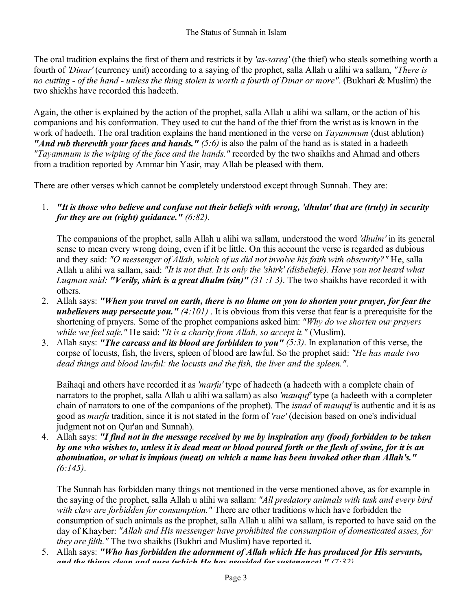The oral tradition explains the first of them and restricts it by *'as-sareq'* (the thief) who steals something worth a fourth of *'Dinar'* (currency unit) according to a saying of the prophet, salla Allah u alihi wa sallam, *"There is no cutting - of the hand - unless the thing stolen is worth a fourth of Dinar or more"*. (Bukhari & Muslim) the two shiekhs have recorded this hadeeth.

Again, the other is explained by the action of the prophet, salla Allah u alihi wa sallam, or the action of his companions and his conformation. They used to cut the hand of the thief from the wrist as is known in the work of hadeeth. The oral tradition explains the hand mentioned in the verse on *Tayammum* (dust ablution) *"And rub therewith your faces and hands." (5:6)* is also the palm of the hand as is stated in a hadeeth *"Tayammum is the wiping of the face and the hands."* recorded by the two shaikhs and Ahmad and others from a tradition reported by Ammar bin Yasir, may Allah be pleased with them.

There are other verses which cannot be completely understood except through Sunnah. They are:

*"It is those who believe and confuse not their beliefs with wrong, 'dhulm' that are (truly) in security*  1. *for they are on (right) guidance." (6:82)*.

The companions of the prophet, salla Allah u alihi wa sallam, understood the word *'dhulm'* in its general sense to mean every wrong doing, even if it be little. On this account the verse is regarded as dubious and they said: *"O messenger of Allah, which of us did not involve his faith with obscurity?"* He, salla Allah u alihi wa sallam, said: *"It is not that. It is only the 'shirk' (disbeliefe). Have you not heard what Luqman said: "Verily, shirk is a great dhulm (sin)" (31 :1 3)*. The two shaikhs have recorded it with others.

- Allah says: *"When you travel on earth, there is no blame on you to shorten your prayer, for fear the*  2. *unbelievers may persecute you." (4:101)* . It is obvious from this verse that fear is a prerequisite for the shortening of prayers. Some of the prophet companions asked him: *"Why do we shorten our prayers while we feel safe."* He said: *"It is a charity from Allah, so accept it."* (Muslim).
- Allah says: *"The carcass and its blood are forbidden to you" (5:3)*. In explanation of this verse, the 3. corpse of locusts, fish, the livers, spleen of blood are lawful. So the prophet said: *"He has made two dead things and blood lawful: the locusts and the fish, the liver and the spleen."*.

Baihaqi and others have recorded it as *'marfu'* type of hadeeth (a hadeeth with a complete chain of narrators to the prophet, salla Allah u alihi wa sallam) as also *'mauquf'* type (a hadeeth with a completer chain of narrators to one of the companions of the prophet). The *isnad* of *mauquf* is authentic and it is as good as *marfu* tradition, since it is not stated in the form of *'rae'* (decision based on one's individual judgment not on Qur'an and Sunnah).

Allah says: *"I find not in the message received by me by inspiration any (food) forbidden to be taken*  4. *by one who wishes to, unless it is dead meat or blood poured forth or the flesh of swine, for it is an abomination, or what is impious (meat) on which a name has been invoked other than Allah's." (6:145)*.

The Sunnah has forbidden many things not mentioned in the verse mentioned above, as for example in the saying of the prophet, salla Allah u alihi wa sallam: *"All predatory animals with tusk and every bird with claw are forbidden for consumption."* There are other traditions which have forbidden the consumption of such animals as the prophet, salla Allah u alihi wa sallam, is reported to have said on the day of Khayber: *"Allah and His messenger have prohibited the consumption of domesticated asses, for they are filth."* The two shaikhs (Bukhri and Muslim) have reported it.

5. Allah says: "Who has forbidden the adornment of Allah which He has produced for His servants, *and the things clean and pure (which He has provided for sustenance) " (7:32)*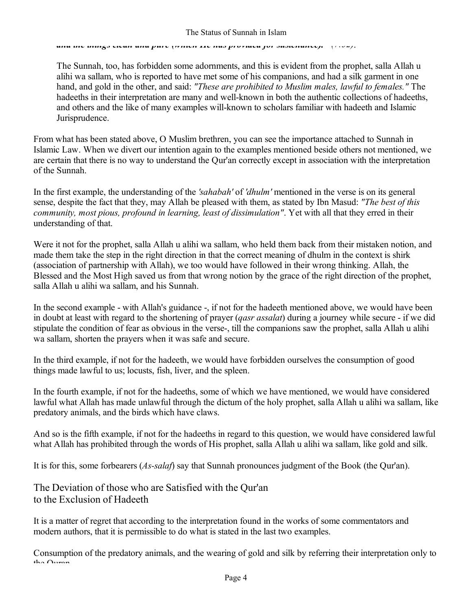*and the things clean and pure (which He has provided for sustenance). (7:32)*.

The Sunnah, too, has forbidden some adornments, and this is evident from the prophet, salla Allah u alihi wa sallam, who is reported to have met some of his companions, and had a silk garment in one hand, and gold in the other, and said: *"These are prohibited to Muslim males, lawful to females."* The hadeeths in their interpretation are many and well-known in both the authentic collections of hadeeths, and others and the like of many examples will-known to scholars familiar with hadeeth and Islamic Jurisprudence.

From what has been stated above, O Muslim brethren, you can see the importance attached to Sunnah in Islamic Law. When we divert our intention again to the examples mentioned beside others not mentioned, we are certain that there is no way to understand the Qur'an correctly except in association with the interpretation of the Sunnah.

In the first example, the understanding of the *'sahabah'* of *'dhulm'* mentioned in the verse is on its general sense, despite the fact that they, may Allah be pleased with them, as stated by Ibn Masud: *"The best of this community, most pious, profound in learning, least of dissimulation"*. Yet with all that they erred in their understanding of that.

Were it not for the prophet, salla Allah u alihi wa sallam, who held them back from their mistaken notion, and made them take the step in the right direction in that the correct meaning of dhulm in the context is shirk (association of partnership with Allah), we too would have followed in their wrong thinking. Allah, the Blessed and the Most High saved us from that wrong notion by the grace of the right direction of the prophet, salla Allah u alihi wa sallam, and his Sunnah.

In the second example - with Allah's guidance -, if not for the hadeeth mentioned above, we would have been in doubt at least with regard to the shortening of prayer (*qasr assalat*) during a journey while secure - if we did stipulate the condition of fear as obvious in the verse-, till the companions saw the prophet, salla Allah u alihi wa sallam, shorten the prayers when it was safe and secure.

In the third example, if not for the hadeeth, we would have forbidden ourselves the consumption of good things made lawful to us; locusts, fish, liver, and the spleen.

In the fourth example, if not for the hadeeths, some of which we have mentioned, we would have considered lawful what Allah has made unlawful through the dictum of the holy prophet, salla Allah u alihi wa sallam, like predatory animals, and the birds which have claws.

And so is the fifth example, if not for the hadeeths in regard to this question, we would have considered lawful what Allah has prohibited through the words of His prophet, salla Allah u alihi wa sallam, like gold and silk.

It is for this, some forbearers (*As-salaf*) say that Sunnah pronounces judgment of the Book (the Qur'an).

## The Deviation of those who are Satisfied with the Qur'an to the Exclusion of Hadeeth

It is a matter of regret that according to the interpretation found in the works of some commentators and modern authors, that it is permissible to do what is stated in the last two examples.

Consumption of the predatory animals, and the wearing of gold and silk by referring their interpretation only to the  $\bigcap_{n\geq n}$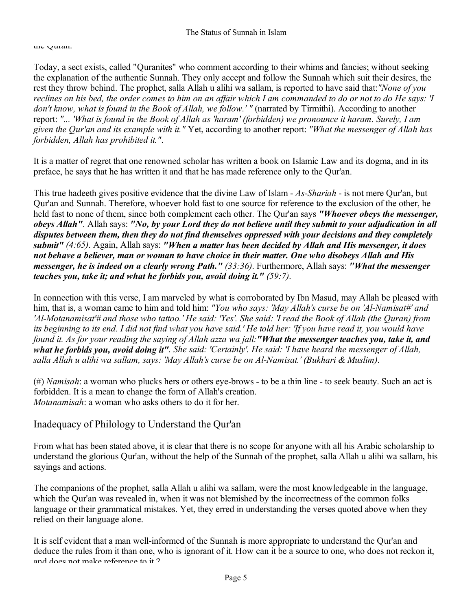#### the Quran.

Today, a sect exists, called "Quranites" who comment according to their whims and fancies; without seeking the explanation of the authentic Sunnah. They only accept and follow the Sunnah which suit their desires, the rest they throw behind. The prophet, salla Allah u alihi wa sallam, is reported to have said that:*"None of you reclines on his bed, the order comes to him on an affair which I am commanded to do or not to do He says: 'I don't know, what is found in the Book of Allah, we follow.' "* (narrated by Tirmithi). According to another report: *"... 'What is found in the Book of Allah as 'haram' (forbidden) we pronounce it haram. Surely, I am given the Qur'an and its example with it."* Yet, according to another report: *"What the messenger of Allah has forbidden, Allah has prohibited it."*.

It is a matter of regret that one renowned scholar has written a book on Islamic Law and its dogma, and in its preface, he says that he has written it and that he has made reference only to the Qur'an.

This true hadeeth gives positive evidence that the divine Law of Islam - *As-Shariah* - is not mere Qur'an, but Qur'an and Sunnah. Therefore, whoever hold fast to one source for reference to the exclusion of the other, he held fast to none of them, since both complement each other. The Qur'an says *"Whoever obeys the messenger, obeys Allah"*. Allah says: *"No, by your Lord they do not believe until they submit to your adjudication in all disputes between them, then they do not find themselves oppressed with your decisions and they completely submit" (4:65)*. Again, Allah says: *"When a matter has been decided by Allah and His messenger, it does not behave a believer, man or woman to have choice in their matter. One who disobeys Allah and His messenger, he is indeed on a clearly wrong Path." (33:36)*. Furthermore, Allah says: *"What the messenger teaches you, take it; and what he forbids you, avoid doing it." (59:7)*.

In connection with this verse, I am marveled by what is corroborated by Ibn Masud, may Allah be pleased with him, that is, a woman came to him and told him: "You who says: 'May Allah's curse be on 'Al-Namisat#' and *'Al-Motanamisat'# and those who tattoo.' He said: 'Yes'. She said: 'I read the Book of Allah (the Quran) from its beginning to its end. I did not find what you have said.' He told her: 'If you have read it, you would have found it. As for your reading the saying of Allah azza wa jall:"What the messenger teaches you, take it, and what he forbids you, avoid doing it". She said: 'Certainly'. He said: 'I have heard the messenger of Allah, salla Allah u alihi wa sallam, says: 'May Allah's curse be on Al-Namisat.' (Bukhari & Muslim)*.

(#) *Namisah*: a woman who plucks hers or others eye-brows - to be a thin line - to seek beauty. Such an act is forbidden. It is a mean to change the form of Allah's creation. *Motanamisah*: a woman who asks others to do it for her.

## Inadequacy of Philology to Understand the Qur'an

From what has been stated above, it is clear that there is no scope for anyone with all his Arabic scholarship to understand the glorious Qur'an, without the help of the Sunnah of the prophet, salla Allah u alihi wa sallam, his sayings and actions.

The companions of the prophet, salla Allah u alihi wa sallam, were the most knowledgeable in the language, which the Qur'an was revealed in, when it was not blemished by the incorrectness of the common folks language or their grammatical mistakes. Yet, they erred in understanding the verses quoted above when they relied on their language alone.

It is self evident that a man well-informed of the Sunnah is more appropriate to understand the Qur'an and deduce the rules from it than one, who is ignorant of it. How can it be a source to one, who does not reckon it, and does not make reference to it ?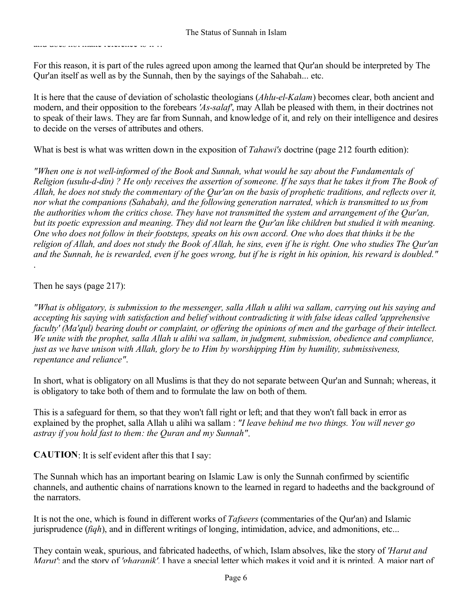and does not make reference to it it and does not make  $\alpha$ 

For this reason, it is part of the rules agreed upon among the learned that Qur'an should be interpreted by The Qur'an itself as well as by the Sunnah, then by the sayings of the Sahabah... etc.

It is here that the cause of deviation of scholastic theologians (*Ahlu-el-Kalam*) becomes clear, both ancient and modern, and their opposition to the forebears *'As-salaf'*, may Allah be pleased with them, in their doctrines not to speak of their laws. They are far from Sunnah, and knowledge of it, and rely on their intelligence and desires to decide on the verses of attributes and others.

What is best is what was written down in the exposition of *Tahawi's* doctrine (page 212 fourth edition):

*"When one is not well-informed of the Book and Sunnah, what would he say about the Fundamentals of Religion (usulu-d-din) ? He only receives the assertion of someone. If he says that he takes it from The Book of Allah, he does not study the commentary of the Qur'an on the basis of prophetic traditions, and reflects over it, nor what the companions (Sahabah), and the following generation narrated, which is transmitted to us from the authorities whom the critics chose. They have not transmitted the system and arrangement of the Qur'an, but its poetic expression and meaning. They did not learn the Qur'an like children but studied it with meaning. One who does not follow in their footsteps, speaks on his own accord. One who does that thinks it be the religion of Allah, and does not study the Book of Allah, he sins, even if he is right. One who studies The Qur'an and the Sunnah, he is rewarded, even if he goes wrong, but if he is right in his opinion, his reward is doubled."*  .

Then he says (page 217):

*"What is obligatory, is submission to the messenger, salla Allah u alihi wa sallam, carrying out his saying and accepting his saying with satisfaction and belief without contradicting it with false ideas called 'apprehensive faculty' (Ma'qul) bearing doubt or complaint, or offering the opinions of men and the garbage of their intellect. We unite with the prophet, salla Allah u alihi wa sallam, in judgment, submission, obedience and compliance, just as we have unison with Allah, glory be to Him by worshipping Him by humility, submissiveness, repentance and reliance"*.

In short, what is obligatory on all Muslims is that they do not separate between Qur'an and Sunnah; whereas, it is obligatory to take both of them and to formulate the law on both of them.

This is a safeguard for them, so that they won't fall right or left; and that they won't fall back in error as explained by the prophet, salla Allah u alihi wa sallam : *"I leave behind me two things. You will never go astray if you hold fast to them: the Quran and my Sunnah"*.

**CAUTION**: It is self evident after this that I say:

The Sunnah which has an important bearing on Islamic Law is only the Sunnah confirmed by scientific channels, and authentic chains of narrations known to the learned in regard to hadeeths and the background of the narrators.

It is not the one, which is found in different works of *Tafseers* (commentaries of the Qur'an) and Islamic jurisprudence (*fiqh*), and in different writings of longing, intimidation, advice, and admonitions, etc...

They contain weak, spurious, and fabricated hadeeths, of which, Islam absolves, like the story of *'Harut and Marut'*: and the story of *'gharanik'*. I have a special letter which makes it void and it is printed. A major part of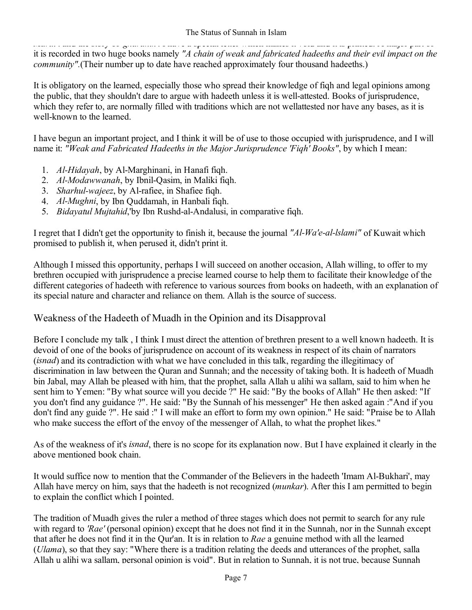*Marut* : and the story of *gharanik* . I have a special letter which makes it void and it is printed. A major part of it is recorded in two huge books namely *"A chain of weak and fabricated hadeeths and their evil impact on the community*".(Their number up to date have reached approximately four thousand hadeeths.)

It is obligatory on the learned, especially those who spread their knowledge of fiqh and legal opinions among the public, that they shouldn't dare to argue with hadeeth unless it is well-attested. Books of jurisprudence, which they refer to, are normally filled with traditions which are not wellattested nor have any bases, as it is well-known to the learned.

I have begun an important project, and I think it will be of use to those occupied with jurisprudence, and I will name it: *"Weak and Fabricated Hadeeths in the Major Jurisprudence 'Fiqh' Books"*, by which I mean:

- *Al-Hidayah*, by Al-Marghinani, in Hanafi fiqh. 1.
- *Al-Modawwanah*, by Ibnil-Qasim, in Maliki fiqh. 2.
- *Sharhul-wajeez*, by Al-rafiee, in Shafiee fiqh. 3.
- *Al-Mughni*, by Ibn Quddamah, in Hanbali fiqh. 4.
- *Bidayatul Mujtahid*,'by Ibn Rushd-al-Andalusi, in comparative fiqh. 5.

I regret that I didn't get the opportunity to finish it, because the journal *"Al-Wa'e-al-lslami"* of Kuwait which promised to publish it, when perused it, didn't print it.

Although I missed this opportunity, perhaps I will succeed on another occasion, Allah willing, to offer to my brethren occupied with jurisprudence a precise learned course to help them to facilitate their knowledge of the different categories of hadeeth with reference to various sources from books on hadeeth, with an explanation of its special nature and character and reliance on them. Allah is the source of success.

## Weakness of the Hadeeth of Muadh in the Opinion and its Disapproval

Before I conclude my talk , I think I must direct the attention of brethren present to a well known hadeeth. It is devoid of one of the books of jurisprudence on account of its weakness in respect of its chain of narrators (*isnad*) and its contradiction with what we have concluded in this talk, regarding the illegitimacy of discrimination in law between the Quran and Sunnah; and the necessity of taking both. It is hadeeth of Muadh bin Jabal, may Allah be pleased with him, that the prophet, salla Allah u alihi wa sallam, said to him when he sent him to Yemen: "By what source will you decide ?" He said: "By the books of Allah" He then asked: "If you don't find any guidance ?". He said: "By the Sunnah of his messenger" He then asked again :"And if you don't find any guide ?". He said :" I will make an effort to form my own opinion." He said: "Praise be to Allah who make success the effort of the envoy of the messenger of Allah, to what the prophet likes."

As of the weakness of it's *isnad*, there is no scope for its explanation now. But I have explained it clearly in the above mentioned book chain.

It would suffice now to mention that the Commander of the Believers in the hadeeth 'Imam Al-Bukhari', may Allah have mercy on him, says that the hadeeth is not recognized (*munkar*). After this I am permitted to begin to explain the conflict which I pointed.

The tradition of Muadh gives the ruler a method of three stages which does not permit to search for any rule with regard to *'Rae'* (personal opinion) except that he does not find it in the Sunnah, nor in the Sunnah except that after he does not find it in the Qur'an. It is in relation to *Rae* a genuine method with all the learned (*Ulama*), so that they say: "Where there is a tradition relating the deeds and utterances of the prophet, salla Allah u alihi wa sallam, personal opinion is void". But in relation to Sunnah, it is not true, because Sunnah